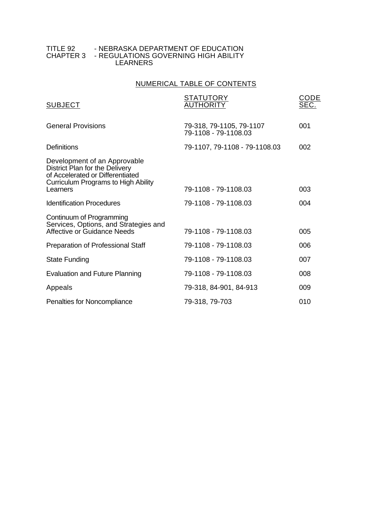#### TITLE 92 - NEBRASKA DEPARTMENT OF EDUCATION CHAPTER 3 - REGULATIONS GOVERNING HIGH ABILITY LEARNERS

## NUMERICAL TABLE OF CONTENTS

| <b>SUBJECT</b>                                                                                                                                        | <b>STATUTORY</b><br><b>AUTHORITY</b>             | CODE<br>SEC. |
|-------------------------------------------------------------------------------------------------------------------------------------------------------|--------------------------------------------------|--------------|
| <b>General Provisions</b>                                                                                                                             | 79-318, 79-1105, 79-1107<br>79-1108 - 79-1108.03 | 001          |
| Definitions                                                                                                                                           | 79-1107, 79-1108 - 79-1108.03                    | 002          |
| Development of an Approvable<br>District Plan for the Delivery<br>of Accelerated or Differentiated<br>Curriculum Programs to High Ability<br>Learners | 79-1108 - 79-1108.03                             | 003          |
| <b>Identification Procedures</b>                                                                                                                      | 79-1108 - 79-1108.03                             | 004          |
| Continuum of Programming<br>Services, Options, and Strategies and<br>Affective or Guidance Needs                                                      | 79-1108 - 79-1108.03                             | 005          |
| Preparation of Professional Staff                                                                                                                     | 79-1108 - 79-1108.03                             | 006          |
| <b>State Funding</b>                                                                                                                                  | 79-1108 - 79-1108.03                             | 007          |
| <b>Evaluation and Future Planning</b>                                                                                                                 | 79-1108 - 79-1108.03                             | 008          |
| Appeals                                                                                                                                               | 79-318, 84-901, 84-913                           | 009          |
| Penalties for Noncompliance                                                                                                                           | 79-318, 79-703                                   | 010          |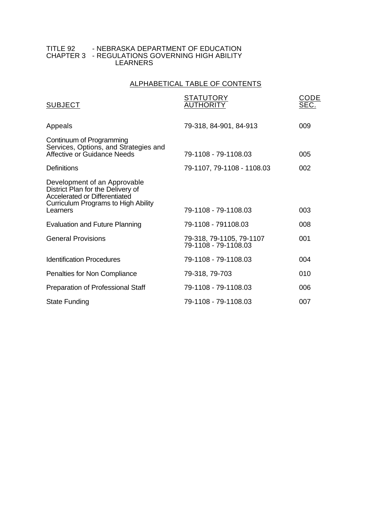#### TITLE 92 - NEBRASKA DEPARTMENT OF EDUCATION CHAPTER 3 - REGULATIONS GOVERNING HIGH ABILITY LEARNERS

## ALPHABETICAL TABLE OF CONTENTS

| <b>SUBJECT</b>                                                                                                                                        | <b>STATUTORY</b><br><b>AUTHORITY</b>             | CODE<br>SEC. |
|-------------------------------------------------------------------------------------------------------------------------------------------------------|--------------------------------------------------|--------------|
| Appeals                                                                                                                                               | 79-318, 84-901, 84-913                           | 009          |
| Continuum of Programming<br>Services, Options, and Strategies and<br>Affective or Guidance Needs                                                      | 79-1108 - 79-1108.03                             | 005          |
| Definitions                                                                                                                                           | 79-1107, 79-1108 - 1108.03                       | 002          |
| Development of an Approvable<br>District Plan for the Delivery of<br>Accelerated or Differentiated<br>Curriculum Programs to High Ability<br>Learners | 79-1108 - 79-1108.03                             | 003          |
| <b>Evaluation and Future Planning</b>                                                                                                                 | 79-1108 - 791108.03                              | 008          |
| <b>General Provisions</b>                                                                                                                             | 79-318, 79-1105, 79-1107<br>79-1108 - 79-1108.03 | 001          |
| Identification Procedures                                                                                                                             | 79-1108 - 79-1108.03                             | 004          |
| Penalties for Non Compliance                                                                                                                          | 79-318, 79-703                                   | 010          |
| Preparation of Professional Staff                                                                                                                     | 79-1108 - 79-1108.03                             | 006          |
| <b>State Funding</b>                                                                                                                                  | 79-1108 - 79-1108.03                             | 007          |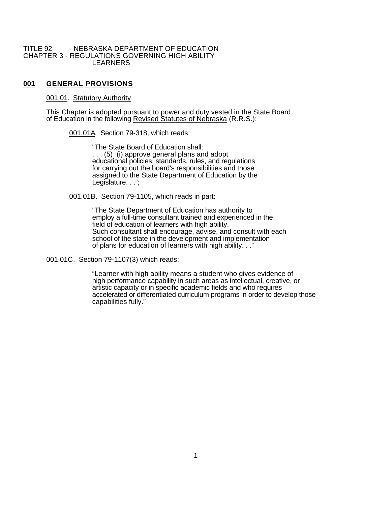#### TITLE 92 - NEBRASKA DEPARTMENT OF EDUCATION CHAPTER 3 - REGULATIONS GOVERNING HIGH ABILITY LEARNERS

### **001 GENERAL PROVISIONS**

#### 001.01. Statutory Authority

This Chapter is adopted pursuant to power and duty vested in the State Board of Education in the following Revised Statutes of Nebraska (R.R.S.):

001.01A. Section 79-318, which reads:

"The State Board of Education shall: . . . (5) (i) approve general plans and adopt educational policies, standards, rules, and regulations for carrying out the board's responsibilities and those assigned to the State Department of Education by the Legislature. . .";

001.01B. Section 79-1105, which reads in part:

"The State Department of Education has authority to employ a full-time consultant trained and experienced in the field of education of learners with high ability. Such consultant shall encourage, advise, and consult with each school of the state in the development and implementation of plans for education of learners with high ability. . ."

001.01C. Section 79-1107(3) which reads:

"Learner with high ability means a student who gives evidence of high performance capability in such areas as intellectual, creative, or artistic capacity or in specific academic fields and who requires accelerated or differentiated curriculum programs in order to develop those capabilities fully."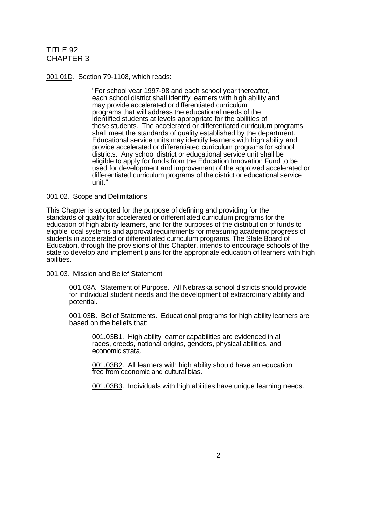001.01D. Section 79-1108, which reads:

"For school year 1997-98 and each school year thereafter, each school district shall identify learners with high ability and may provide accelerated or differentiated curriculum programs that will address the educational needs of the identified students at levels appropriate for the abilities of those students. The accelerated or differentiated curriculum programs shall meet the standards of quality established by the department. Educational service units may identify learners with high ability and provide accelerated or differentiated curriculum programs for school districts. Any school district or educational service unit shall be eligible to apply for funds from the Education Innovation Fund to be used for development and improvement of the approved accelerated or differentiated curriculum programs of the district or educational service unit."

#### 001.02. Scope and Delimitations

This Chapter is adopted for the purpose of defining and providing for the standards of quality for accelerated or differentiated curriculum programs for the education of high ability learners, and for the purposes of the distribution of funds to eligible local systems and approval requirements for measuring academic progress of students in accelerated or differentiated curriculum programs. The State Board of Education, through the provisions of this Chapter, intends to encourage schools of the state to develop and implement plans for the appropriate education of learners with high abilities.

#### 001.03. Mission and Belief Statement

001.03A. Statement of Purpose. All Nebraska school districts should provide for individual student needs and the development of extraordinary ability and potential.

001.03B. Belief Statements. Educational programs for high ability learners are based on the beliefs that:

001.03B1. High ability learner capabilities are evidenced in all races, creeds, national origins, genders, physical abilities, and economic strata.

001.03B2. All learners with high ability should have an education free from economic and cultural bias.

001.03B3. Individuals with high abilities have unique learning needs.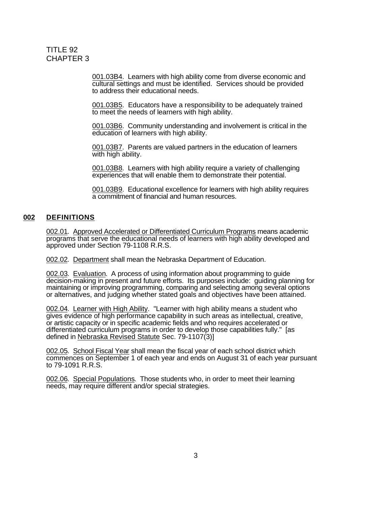001.03B4. Learners with high ability come from diverse economic and cultural settings and must be identified. Services should be provided to address their educational needs.

001.03B5. Educators have a responsibility to be adequately trained to meet the needs of learners with high ability.

001.03B6. Community understanding and involvement is critical in the education of learners with high ability.

001.03B7. Parents are valued partners in the education of learners with high ability.

001.03B8. Learners with high ability require a variety of challenging experiences that will enable them to demonstrate their potential.

001.03B9. Educational excellence for learners with high ability requires a commitment of financial and human resources.

### **002 DEFINITIONS**

002.01. Approved Accelerated or Differentiated Curriculum Programs means academic programs that serve the educational needs of learners with high ability developed and approved under Section 79-1108 R.R.S.

002.02. Department shall mean the Nebraska Department of Education.

002.03. Evaluation. A process of using information about programming to guide decision-making in present and future efforts. Its purposes include: guiding planning for maintaining or improving programming, comparing and selecting among several options or alternatives, and judging whether stated goals and objectives have been attained.

002.04. Learner with High Ability. "Learner with high ability means a student who gives evidence of high performance capability in such areas as intellectual, creative, or artistic capacity or in specific academic fields and who requires accelerated or differentiated curriculum programs in order to develop those capabilities fully." [as defined in Nebraska Revised Statute Sec. 79-1107(3)]

002.05. School Fiscal Year shall mean the fiscal year of each school district which commences on September 1 of each year and ends on August 31 of each year pursuant to 79-1091 R.R.S.

002.06. Special Populations. Those students who, in order to meet their learning needs, may require different and/or special strategies.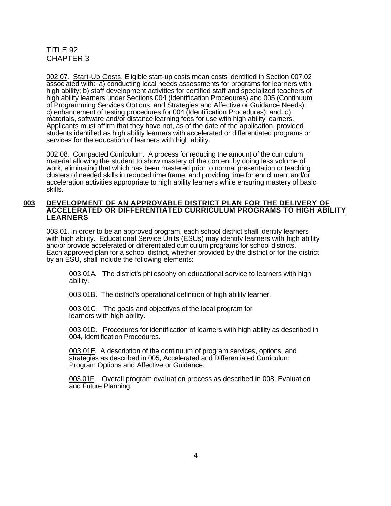002.07. Start-Up Costs. Eligible start-up costs mean costs identified in Section 007.02 associated with: a) conducting local needs assessments for programs for learners with high ability; b) staff development activities for certified staff and specialized teachers of high ability learners under Sections 004 (Identification Procedures) and 005 (Continuum of Programming Services Options, and Strategies and Affective or Guidance Needs); c) enhancement of testing procedures for 004 (Identification Procedures); and, d) materials, software and/or distance learning fees for use with high ability learners. Applicants must affirm that they have not, as of the date of the application, provided students identified as high ability learners with accelerated or differentiated programs or services for the education of learners with high ability.

002.08. Compacted Curriculum. A process for reducing the amount of the curriculum material allowing the student to show mastery of the content by doing less volume of work, eliminating that which has been mastered prior to normal presentation or teaching clusters of needed skills in reduced time frame, and providing time for enrichment and/or acceleration activities appropriate to high ability learners while ensuring mastery of basic skills.

#### **003 DEVELOPMENT OF AN APPROVABLE DISTRICT PLAN FOR THE DELIVERY OF ACCELERATED OR DIFFERENTIATED CURRICULUM PROGRAMS TO HIGH ABILITY LEARNERS**

003.01. In order to be an approved program, each school district shall identify learners with high ability. Educational Service Units (ESUs) may identify learners with high ability and/or provide accelerated or differentiated curriculum programs for school districts. Each approved plan for a school district, whether provided by the district or for the district by an ESU, shall include the following elements:

003.01A. The district's philosophy on educational service to learners with high ability.

003.01B. The district's operational definition of high ability learner.

003.01C. The goals and objectives of the local program for learners with high ability.

003.01D. Procedures for identification of learners with high ability as described in 004, Identification Procedures.

003.01E. A description of the continuum of program services, options, and strategies as described in 005, Accelerated and Differentiated Curriculum Program Options and Affective or Guidance.

003.01F. Overall program evaluation process as described in 008, Evaluation and Future Planning.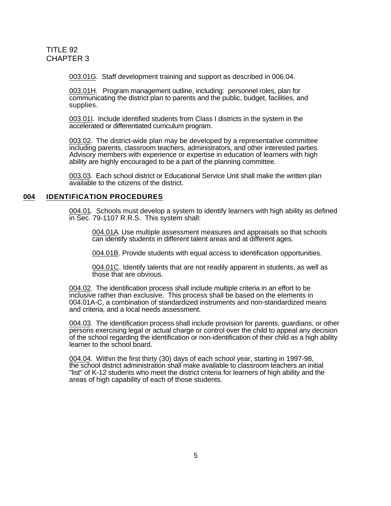003.01G. Staff development training and support as described in 006.04.

003.01H. Program management outline, including: personnel roles, plan for communicating the district plan to parents and the public, budget, facilities, and supplies.

003.01I. Include identified students from Class I districts in the system in the accelerated or differentiated curriculum program.

003.02. The district-wide plan may be developed by a representative committee including parents, classroom teachers, administrators, and other interested parties. Advisory members with experience or expertise in education of learners with high ability are highly encouraged to be a part of the planning committee.

003.03. Each school district or Educational Service Unit shall make the written plan available to the citizens of the district.

### **004 IDENTIFICATION PROCEDURES**

004.01. Schools must develop a system to identify learners with high ability as defined in Sec. 79-1107 R.R.S. This system shall:

004.01A. Use multiple assessment measures and appraisals so that schools can identify students in different talent areas and at different ages.

004.01B. Provide students with equal access to identification opportunities.

004.01C. Identify talents that are not readily apparent in students, as well as those that are obvious.

004.02. The identification process shall include multiple criteria in an effort to be inclusive rather than exclusive. This process shall be based on the elements in 004.01A-C, a combination of standardized instruments and non-standardized means and criteria, and a local needs assessment.

004.03. The identification process shall include provision for parents, guardians, or other persons exercising legal or actual charge or control over the child to appeal any decision of the school regarding the identification or non-identification of their child as a high ability learner to the school board.

004.04. Within the first thirty (30) days of each school year, starting in 1997-98, the school district administration shall make available to classroom teachers an initial "list" of K-12 students who meet the district criteria for learners of high ability and the areas of high capability of each of those students.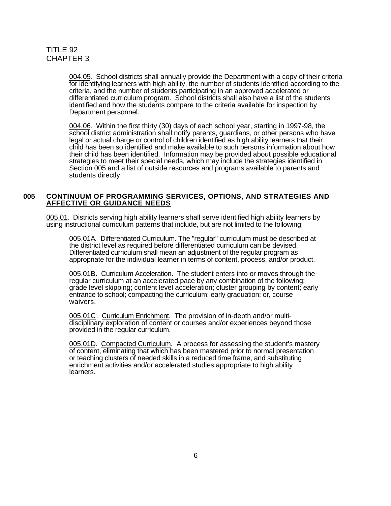004.05. School districts shall annually provide the Department with a copy of their criteria for identifying learners with high ability, the number of students identified according to the criteria, and the number of students participating in an approved accelerated or differentiated curriculum program. School districts shall also have a list of the students identified and how the students compare to the criteria available for inspection by Department personnel.

004.06. Within the first thirty (30) days of each school year, starting in 1997-98, the school district administration shall notify parents, guardians, or other persons who have legal or actual charge or control of children identified as high ability learners that their child has been so identified and make available to such persons information about how their child has been identified. Information may be provided about possible educational strategies to meet their special needs, which may include the strategies identified in Section 005 and a list of outside resources and programs available to parents and students directly.

### **005 CONTINUUM OF PROGRAMMING SERVICES, OPTIONS, AND STRATEGIES AND AFFECTIVE OR GUIDANCE NEEDS**

005.01. Districts serving high ability learners shall serve identified high ability learners by using instructional curriculum patterns that include, but are not limited to the following:

005.01A. Differentiated Curriculum. The "regular" curriculum must be described at the district level as required before differentiated curriculum can be devised. Differentiated curriculum shall mean an adjustment of the regular program as appropriate for the individual learner in terms of content, process, and/or product.

005.01B. Curriculum Acceleration. The student enters into or moves through the regular curriculum at an accelerated pace by any combination of the following: grade level skipping; content level acceleration; cluster grouping by content; early entrance to school; compacting the curriculum; early graduation; or, course waivers.

005.01C. Curriculum Enrichment. The provision of in-depth and/or multidisciplinary exploration of content or courses and/or experiences beyond those provided in the regular curriculum.

005.01D. Compacted Curriculum. A process for assessing the student's mastery of content, eliminating that which has been mastered prior to normal presentation or teaching clusters of needed skills in a reduced time frame, and substituting enrichment activities and/or accelerated studies appropriate to high ability learners.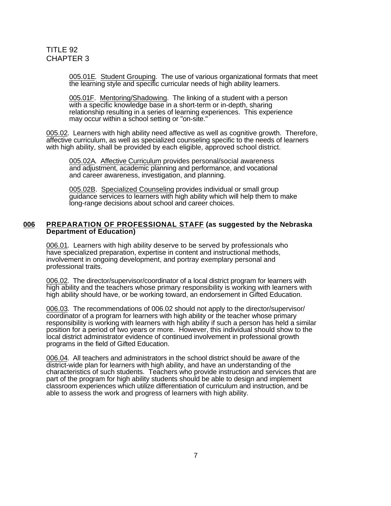005.01E. Student Grouping. The use of various organizational formats that meet the learning style and specific curricular needs of high ability learners.

005.01F. Mentoring/Shadowing. The linking of a student with a person with a specific knowledge base in a short-term or in-depth, sharing relationship resulting in a series of learning experiences. This experience may occur within a school setting or "on-site."

005.02. Learners with high ability need affective as well as cognitive growth. Therefore, affective curriculum, as well as specialized counseling specific to the needs of learners with high ability, shall be provided by each eligible, approved school district.

005.02A. Affective Curriculum provides personal/social awareness and adjustment, academic planning and performance, and vocational and career awareness, investigation, and planning.

005.02B. Specialized Counseling provides individual or small group guidance services to learners with high ability which will help them to make long-range decisions about school and career choices.

#### **006 PREPARATION OF PROFESSIONAL STAFF (as suggested by the Nebraska Department of Education)**

006.01. Learners with high ability deserve to be served by professionals who have specialized preparation, expertise in content and instructional methods, involvement in ongoing development, and portray exemplary personal and professional traits.

006.02. The director/supervisor/coordinator of a local district program for learners with high ability and the teachers whose primary responsibility is working with learners with high ability should have, or be working toward, an endorsement in Gifted Education.

006.03. The recommendations of 006.02 should not apply to the director/supervisor/ coordinator of a program for learners with high ability or the teacher whose primary responsibility is working with learners with high ability if such a person has held a similar position for a period of two years or more. However, this individual should show to the local district administrator evidence of continued involvement in professional growth programs in the field of Gifted Education.

006.04. All teachers and administrators in the school district should be aware of the district-wide plan for learners with high ability, and have an understanding of the characteristics of such students. Teachers who provide instruction and services that are part of the program for high ability students should be able to design and implement classroom experiences which utilize differentiation of curriculum and instruction, and be able to assess the work and progress of learners with high ability.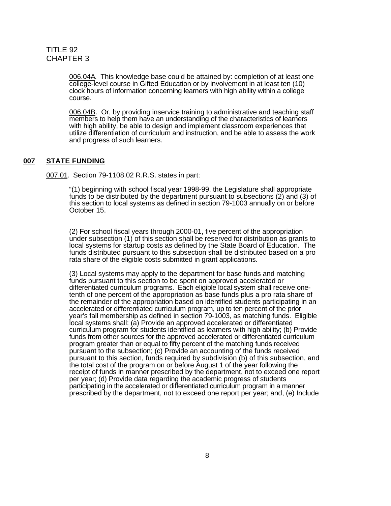006.04A. This knowledge base could be attained by: completion of at least one college-level course in Gifted Education or by involvement in at least ten (10) clock hours of information concerning learners with high ability within a college course.

006.04B. Or, by providing inservice training to administrative and teaching staff members to help them have an understanding of the characteristics of learners with high ability, be able to design and implement classroom experiences that utilize differentiation of curriculum and instruction, and be able to assess the work and progress of such learners.

### **007 STATE FUNDING**

007.01. Section 79-1108.02 R.R.S. states in part:

"(1) beginning with school fiscal year 1998-99, the Legislature shall appropriate funds to be distributed by the department pursuant to subsections (2) and (3) of this section to local systems as defined in section 79-1003 annually on or before October 15.

(2) For school fiscal years through 2000-01, five percent of the appropriation under subsection (1) of this section shall be reserved for distribution as grants to local systems for startup costs as defined by the State Board of Education. The funds distributed pursuant to this subsection shall be distributed based on a pro rata share of the eligible costs submitted in grant applications.

(3) Local systems may apply to the department for base funds and matching funds pursuant to this section to be spent on approved accelerated or differentiated curriculum programs. Each eligible local system shall receive onetenth of one percent of the appropriation as base funds plus a pro rata share of the remainder of the appropriation based on identified students participating in an accelerated or differentiated curriculum program, up to ten percent of the prior year's fall membership as defined in section 79-1003, as matching funds. Eligible local systems shall: (a) Provide an approved accelerated or differentiated curriculum program for students identified as learners with high ability; (b) Provide funds from other sources for the approved accelerated or differentiated curriculum program greater than or equal to fifty percent of the matching funds received pursuant to the subsection; (c) Provide an accounting of the funds received pursuant to this section, funds required by subdivision (b) of this subsection, and the total cost of the program on or before August 1 of the year following the receipt of funds in manner prescribed by the department, not to exceed one report per year; (d) Provide data regarding the academic progress of students participating in the accelerated or differentiated curriculum program in a manner prescribed by the department, not to exceed one report per year; and, (e) Include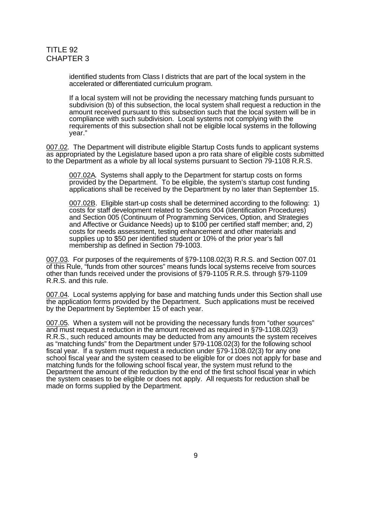identified students from Class I districts that are part of the local system in the accelerated or differentiated curriculum program.

If a local system will not be providing the necessary matching funds pursuant to subdivision (b) of this subsection, the local system shall request a reduction in the amount received pursuant to this subsection such that the local system will be in compliance with such subdivision. Local systems not complying with the requirements of this subsection shall not be eligible local systems in the following year."

007.02. The Department will distribute eligible Startup Costs funds to applicant systems as appropriated by the Legislature based upon a pro rata share of eligible costs submitted to the Department as a whole by all local systems pursuant to Section 79-1108 R.R.S.

007.02A. Systems shall apply to the Department for startup costs on forms provided by the Department. To be eligible, the system's startup cost funding applications shall be received by the Department by no later than September 15.

007.02B. Eligible start-up costs shall be determined according to the following: 1) costs for staff development related to Sections 004 (Identification Procedures) and Section 005 (Continuum of Programming Services, Option, and Strategies and Affective or Guidance Needs) up to \$100 per certified staff member; and, 2) costs for needs assessment, testing enhancement and other materials and supplies up to \$50 per identified student or 10% of the prior year's fall membership as defined in Section 79-1003.

007.03. For purposes of the requirements of §79-1108.02(3) R.R.S. and Section 007.01 of this Rule, "funds from other sources" means funds local systems receive from sources other than funds received under the provisions of §79-1105 R.R.S. through §79-1109 R.R.S. and this rule.

007.04. Local systems applying for base and matching funds under this Section shall use the application forms provided by the Department. Such applications must be received by the Department by September 15 of each year.

007.05. When a system will not be providing the necessary funds from "other sources" and must request a reduction in the amount received as required in §79-1108.02(3) R.R.S., such reduced amounts may be deducted from any amounts the system receives as "matching funds" from the Department under §79-1108.02(3) for the following school fiscal year. If a system must request a reduction under §79-1108.02(3) for any one school fiscal year and the system ceased to be eligible for or does not apply for base and matching funds for the following school fiscal year, the system must refund to the Department the amount of the reduction by the end of the first school fiscal year in which the system ceases to be eligible or does not apply. All requests for reduction shall be made on forms supplied by the Department.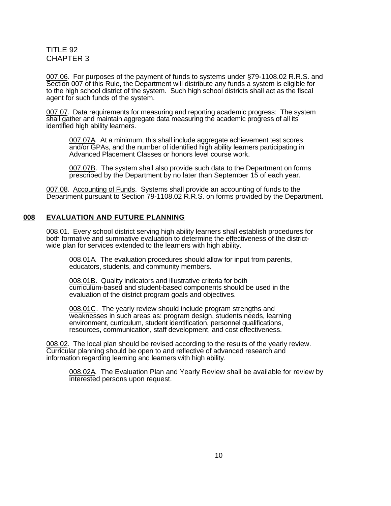007.06. For purposes of the payment of funds to systems under §79-1108.02 R.R.S. and Section 007 of this Rule, the Department will distribute any funds a system is eligible for to the high school district of the system. Such high school districts shall act as the fiscal agent for such funds of the system.

007.07. Data requirements for measuring and reporting academic progress: The system shall gather and maintain aggregate data measuring the academic progress of all its identified high ability learners.

007.07A. At a minimum, this shall include aggregate achievement test scores and/or GPAs, and the number of identified high ability learners participating in Advanced Placement Classes or honors level course work.

007.07B. The system shall also provide such data to the Department on forms prescribed by the Department by no later than September 15 of each year.

007.08. Accounting of Funds. Systems shall provide an accounting of funds to the Department pursuant to Section 79-1108.02 R.R.S. on forms provided by the Department.

### **008 EVALUATION AND FUTURE PLANNING**

008.01. Every school district serving high ability learners shall establish procedures for both formative and summative evaluation to determine the effectiveness of the districtwide plan for services extended to the learners with high ability.

008.01A. The evaluation procedures should allow for input from parents, educators, students, and community members.

008.01B. Quality indicators and illustrative criteria for both curriculum-based and student-based components should be used in the evaluation of the district program goals and objectives.

008.01C. The yearly review should include program strengths and weaknesses in such areas as: program design, students needs, learning environment, curriculum, student identification, personnel qualifications, resources, communication, staff development, and cost effectiveness.

008.02. The local plan should be revised according to the results of the yearly review. Curricular planning should be open to and reflective of advanced research and information regarding learning and learners with high ability.

008.02A. The Evaluation Plan and Yearly Review shall be available for review by interested persons upon request.